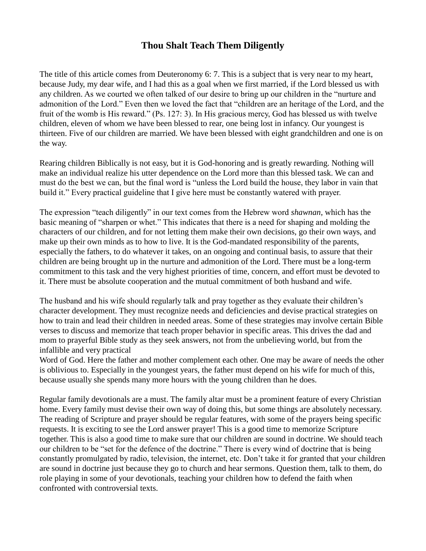## **Thou Shalt Teach Them Diligently**

The title of this article comes from Deuteronomy 6: 7. This is a subject that is very near to my heart, because Judy, my dear wife, and I had this as a goal when we first married, if the Lord blessed us with any children. As we courted we often talked of our desire to bring up our children in the "nurture and admonition of the Lord." Even then we loved the fact that "children are an heritage of the Lord, and the fruit of the womb is His reward." (Ps. 127: 3). In His gracious mercy, God has blessed us with twelve children, eleven of whom we have been blessed to rear, one being lost in infancy. Our youngest is thirteen. Five of our children are married. We have been blessed with eight grandchildren and one is on the way.

Rearing children Biblically is not easy, but it is God-honoring and is greatly rewarding. Nothing will make an individual realize his utter dependence on the Lord more than this blessed task. We can and must do the best we can, but the final word is "unless the Lord build the house, they labor in vain that build it." Every practical guideline that I give here must be constantly watered with prayer.

The expression "teach diligently" in our text comes from the Hebrew word *shawnan*, which has the basic meaning of "sharpen or whet." This indicates that there is a need for shaping and molding the characters of our children, and for not letting them make their own decisions, go their own ways, and make up their own minds as to how to live. It is the God-mandated responsibility of the parents, especially the fathers, to do whatever it takes, on an ongoing and continual basis, to assure that their children are being brought up in the nurture and admonition of the Lord. There must be a long-term commitment to this task and the very highest priorities of time, concern, and effort must be devoted to it. There must be absolute cooperation and the mutual commitment of both husband and wife.

The husband and his wife should regularly talk and pray together as they evaluate their children's character development. They must recognize needs and deficiencies and devise practical strategies on how to train and lead their children in needed areas. Some of these strategies may involve certain Bible verses to discuss and memorize that teach proper behavior in specific areas. This drives the dad and mom to prayerful Bible study as they seek answers, not from the unbelieving world, but from the infallible and very practical

Word of God. Here the father and mother complement each other. One may be aware of needs the other is oblivious to. Especially in the youngest years, the father must depend on his wife for much of this, because usually she spends many more hours with the young children than he does.

Regular family devotionals are a must. The family altar must be a prominent feature of every Christian home. Every family must devise their own way of doing this, but some things are absolutely necessary. The reading of Scripture and prayer should be regular features, with some of the prayers being specific requests. It is exciting to see the Lord answer prayer! This is a good time to memorize Scripture together. This is also a good time to make sure that our children are sound in doctrine. We should teach our children to be "set for the defence of the doctrine." There is every wind of doctrine that is being constantly promulgated by radio, television, the internet, etc. Don't take it for granted that your children are sound in doctrine just because they go to church and hear sermons. Question them, talk to them, do role playing in some of your devotionals, teaching your children how to defend the faith when confronted with controversial texts.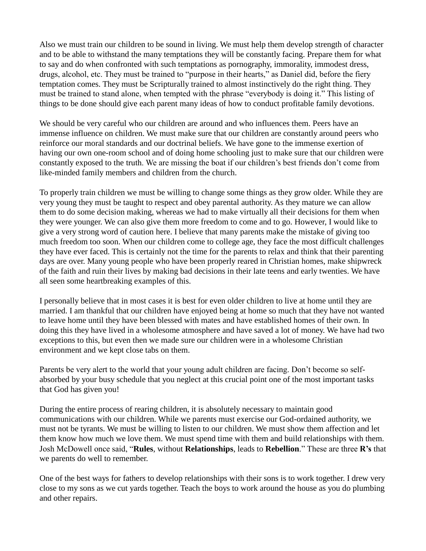Also we must train our children to be sound in living. We must help them develop strength of character and to be able to withstand the many temptations they will be constantly facing. Prepare them for what to say and do when confronted with such temptations as pornography, immorality, immodest dress, drugs, alcohol, etc. They must be trained to "purpose in their hearts," as Daniel did, before the fiery temptation comes. They must be Scripturally trained to almost instinctively do the right thing. They must be trained to stand alone, when tempted with the phrase "everybody is doing it." This listing of things to be done should give each parent many ideas of how to conduct profitable family devotions.

We should be very careful who our children are around and who influences them. Peers have an immense influence on children. We must make sure that our children are constantly around peers who reinforce our moral standards and our doctrinal beliefs. We have gone to the immense exertion of having our own one-room school and of doing home schooling just to make sure that our children were constantly exposed to the truth. We are missing the boat if our children's best friends don't come from like-minded family members and children from the church.

To properly train children we must be willing to change some things as they grow older. While they are very young they must be taught to respect and obey parental authority. As they mature we can allow them to do some decision making, whereas we had to make virtually all their decisions for them when they were younger. We can also give them more freedom to come and to go. However, I would like to give a very strong word of caution here. I believe that many parents make the mistake of giving too much freedom too soon. When our children come to college age, they face the most difficult challenges they have ever faced. This is certainly not the time for the parents to relax and think that their parenting days are over. Many young people who have been properly reared in Christian homes, make shipwreck of the faith and ruin their lives by making bad decisions in their late teens and early twenties. We have all seen some heartbreaking examples of this.

I personally believe that in most cases it is best for even older children to live at home until they are married. I am thankful that our children have enjoyed being at home so much that they have not wanted to leave home until they have been blessed with mates and have established homes of their own. In doing this they have lived in a wholesome atmosphere and have saved a lot of money. We have had two exceptions to this, but even then we made sure our children were in a wholesome Christian environment and we kept close tabs on them.

Parents be very alert to the world that your young adult children are facing. Don't become so selfabsorbed by your busy schedule that you neglect at this crucial point one of the most important tasks that God has given you!

During the entire process of rearing children, it is absolutely necessary to maintain good communications with our children. While we parents must exercise our God-ordained authority, we must not be tyrants. We must be willing to listen to our children. We must show them affection and let them know how much we love them. We must spend time with them and build relationships with them. Josh McDowell once said, "**Rules**, without **Relationships**, leads to **Rebellion**." These are three **R's** that we parents do well to remember.

One of the best ways for fathers to develop relationships with their sons is to work together. I drew very close to my sons as we cut yards together. Teach the boys to work around the house as you do plumbing and other repairs.